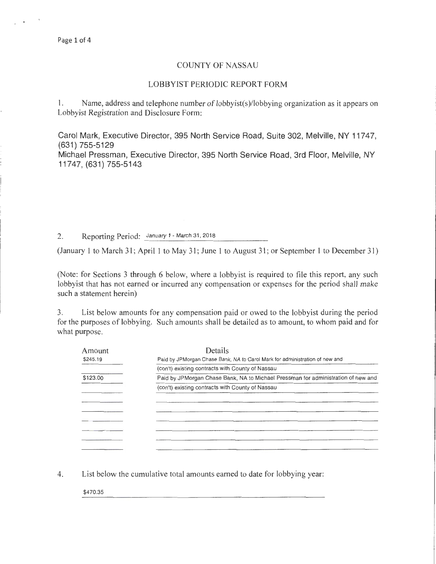## COUNTY OF NASSAU

## LOBBYIST PERIODIC REPORT FORM

1. Name, address and telephone number of lobbyist(s)/lobbying organization as it appears on Lobbyist Registration and Disclosure Form:

Carol Mark, Executive Director, 395 North Service Road, Suite 302, Melville, NY 11747, (631) 755-5129

Michael Pressman, Executive Director, 395 North Service Road, 3rd Floor, Melville, NY 11747, (631) 755-5143

2. Reporting Period: January 1 - March 31, 2018

(January 1 to March 31; April 1 to May 31; June 1 to August 31; or September 1 to December 31)

(Note: for Sections 3 through 6 below, where a lobbyist is required to file this report, any such lobbyist that has not earned or incurred any compensation or expenses for the period shall make such a statement herein)

3. List below amounts for any compensation paid or owed to the lobbyist during the period for the purposes of lobbying. Such amounts shall be detailed as to amount, to whom paid and for what purpose.

| Amount   | Details                                                                           |
|----------|-----------------------------------------------------------------------------------|
| \$245.19 | Paid by JPMorgan Chase Bank, NA to Carol Mark for administration of new and       |
|          | (con't) existing contracts with County of Nassau                                  |
| \$123.00 | Paid by JPMorgan Chase Bank, NA to Michael Pressman for administration of new and |
|          | (con't) existing contracts with County of Nassau                                  |
|          |                                                                                   |
|          |                                                                                   |
|          |                                                                                   |
|          |                                                                                   |
|          |                                                                                   |
|          |                                                                                   |
|          |                                                                                   |

4. List below the cumulative total amounts earned to date for lobbying year:

\$470.35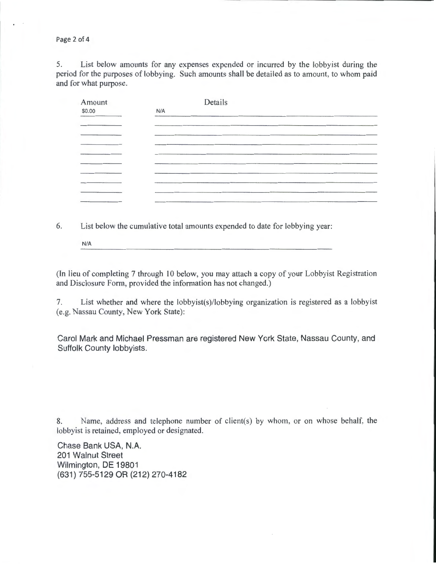Page 2 of 4

5. List below amounts for any expenses expended or incurred by the lobbyist during the period for the purposes of lobbying. Such amounts shall be detailed as to amount, to whom paid and for what purpose.

| Amount |     | Details                                                |  |
|--------|-----|--------------------------------------------------------|--|
| \$0.00 | N/A |                                                        |  |
|        |     |                                                        |  |
|        |     |                                                        |  |
|        |     |                                                        |  |
|        |     |                                                        |  |
|        |     |                                                        |  |
|        |     |                                                        |  |
|        |     |                                                        |  |
|        |     |                                                        |  |
|        |     |                                                        |  |
|        |     | <u> 1989 - Januari Start, fransk politik (d. 1989)</u> |  |

6. List below the cumulative total amounts expended to date for lobbying year:

N/A

(In lieu of completing 7 through 10 below, you may attach a copy of your Lobbyist Registration and Disclosure Form, provided the information has not changed.)

7. List whether and where the lobbyist(s)/lobbying organization is registered as a lobbyist (e.g. Nassau County, New York State):

Carol Mark and Michael Pressman are registered New York State, Nassau County, and Suffolk County lobbyists.

8. Name, address and telephone number of client(s) by whom, or on whose behalf, the lobbyist is retained, employed or designated.

Chase Bank USA, N.A. 201 Walnut Street Wilmington, DE 19801 (631) 755-5129 OR (212) 270-4182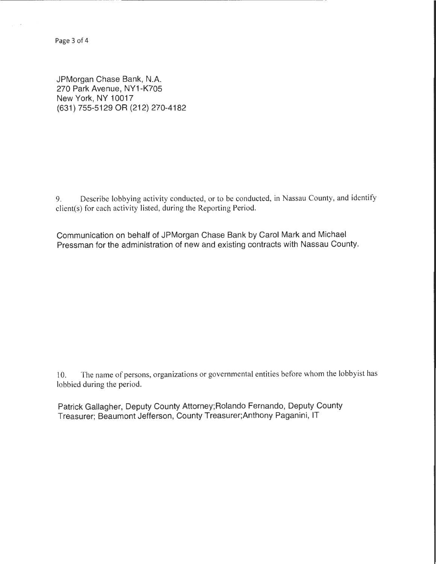Page 3 of 4

JPMorgan Chase Bank, N.A. 270 Park Avenue, NY1-K705 New York, NY 10017 (631) 755-5129 OR (212) 270-4182

9. Describe lobbying activity conducted, or to be conducted, in Nassau County, and identify client(s) for each activity listed, during the Reporting Period.

Communication on behalf of JPMorgan Chase Bank by Carol Mark and Michael Pressman for the administration of new and existing contracts with Nassau County.

10. The name of persons, organizations or governmental entities before whom the lobbyist has lobbied during the period.

Patrick Gallagher, Deputy County Attorney; Rolando Fernando, Deputy County Treasurer; Beaumont Jefferson, County Treasurer;Anthony Paganini, IT